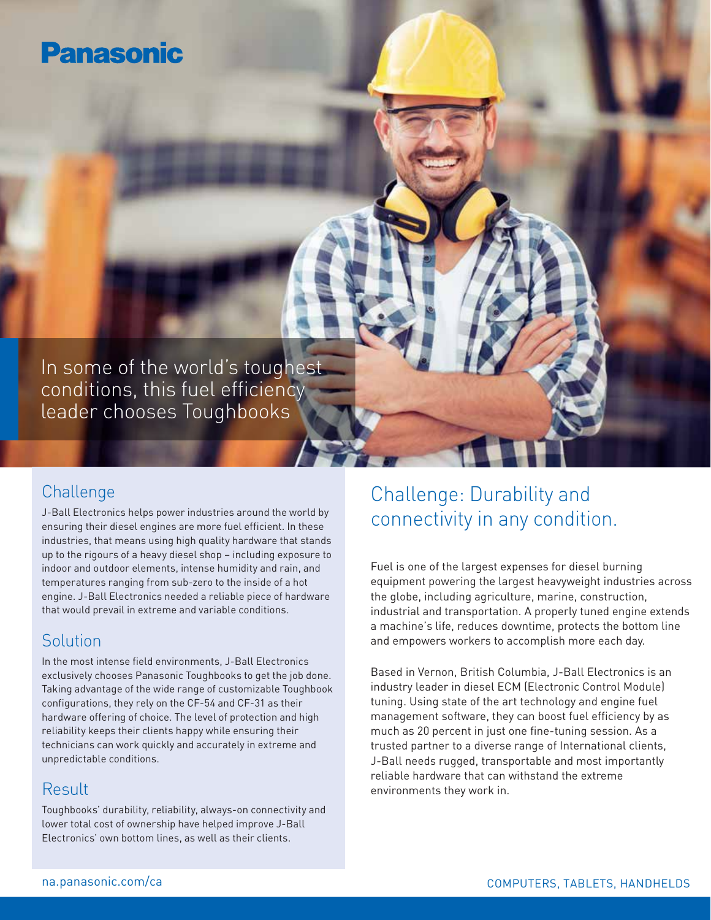## **Panasonic**

In some of the world's toughest conditions, this fuel efficiency leader chooses Toughbooks

#### **Challenge**

J-Ball Electronics helps power industries around the world by ensuring their diesel engines are more fuel efficient. In these industries, that means using high quality hardware that stands up to the rigours of a heavy diesel shop – including exposure to indoor and outdoor elements, intense humidity and rain, and temperatures ranging from sub-zero to the inside of a hot engine. J-Ball Electronics needed a reliable piece of hardware that would prevail in extreme and variable conditions.

#### Solution

In the most intense field environments, J-Ball Electronics exclusively chooses Panasonic Toughbooks to get the job done. Taking advantage of the wide range of customizable Toughbook configurations, they rely on the CF-54 and CF-31 as their hardware offering of choice. The level of protection and high reliability keeps their clients happy while ensuring their technicians can work quickly and accurately in extreme and unpredictable conditions.

#### Result

Toughbooks' durability, reliability, always-on connectivity and lower total cost of ownership have helped improve J-Ball Electronics' own bottom lines, as well as their clients.

## Challenge: Durability and connectivity in any condition.

Fuel is one of the largest expenses for diesel burning equipment powering the largest heavyweight industries across the globe, including agriculture, marine, construction, industrial and transportation. A properly tuned engine extends a machine's life, reduces downtime, protects the bottom line and empowers workers to accomplish more each day.

Based in Vernon, British Columbia, J-Ball Electronics is an industry leader in diesel ECM (Electronic Control Module) tuning. Using state of the art technology and engine fuel management software, they can boost fuel efficiency by as much as 20 percent in just one fine-tuning session. As a trusted partner to a diverse range of International clients, J-Ball needs rugged, transportable and most importantly reliable hardware that can withstand the extreme environments they work in.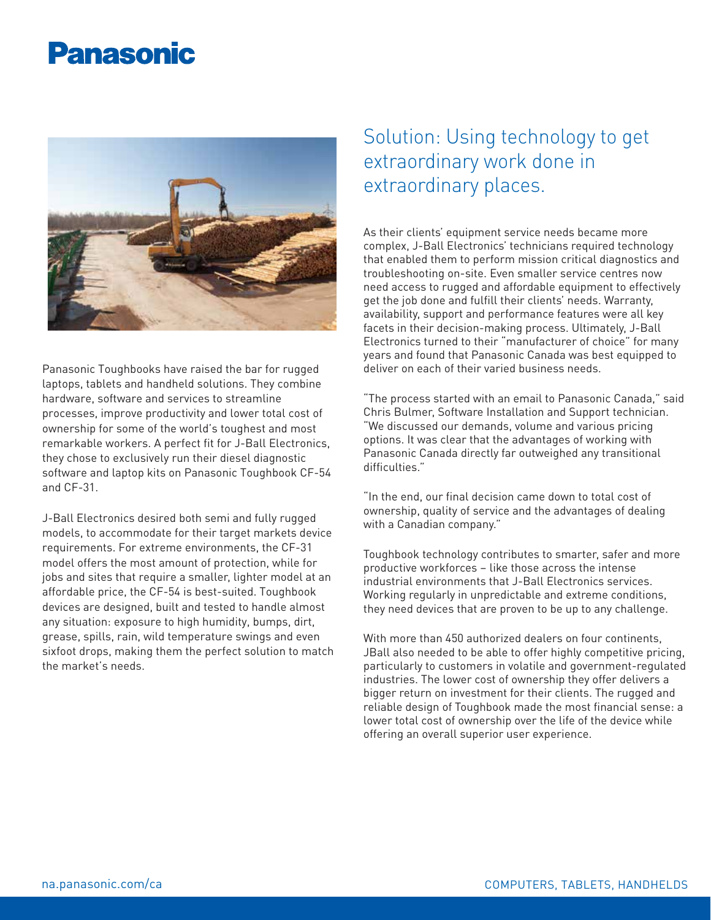# **Panasonic**



Panasonic Toughbooks have raised the bar for rugged laptops, tablets and handheld solutions. They combine hardware, software and services to streamline processes, improve productivity and lower total cost of ownership for some of the world's toughest and most remarkable workers. A perfect fit for J-Ball Electronics, they chose to exclusively run their diesel diagnostic software and laptop kits on Panasonic Toughbook CF-54 and CF-31.

J-Ball Electronics desired both semi and fully rugged models, to accommodate for their target markets device requirements. For extreme environments, the CF-31 model offers the most amount of protection, while for jobs and sites that require a smaller, lighter model at an affordable price, the CF-54 is best-suited. Toughbook devices are designed, built and tested to handle almost any situation: exposure to high humidity, bumps, dirt, grease, spills, rain, wild temperature swings and even sixfoot drops, making them the perfect solution to match the market's needs.

### Solution: Using technology to get extraordinary work done in extraordinary places.

As their clients' equipment service needs became more complex, J-Ball Electronics' technicians required technology that enabled them to perform mission critical diagnostics and troubleshooting on-site. Even smaller service centres now need access to rugged and affordable equipment to effectively get the job done and fulfill their clients' needs. Warranty, availability, support and performance features were all key facets in their decision-making process. Ultimately, J-Ball Electronics turned to their "manufacturer of choice" for many years and found that Panasonic Canada was best equipped to deliver on each of their varied business needs.

"The process started with an email to Panasonic Canada," said Chris Bulmer, Software Installation and Support technician. "We discussed our demands, volume and various pricing options. It was clear that the advantages of working with Panasonic Canada directly far outweighed any transitional difficulties."

"In the end, our final decision came down to total cost of ownership, quality of service and the advantages of dealing with a Canadian company."

Toughbook technology contributes to smarter, safer and more productive workforces – like those across the intense industrial environments that J-Ball Electronics services. Working regularly in unpredictable and extreme conditions, they need devices that are proven to be up to any challenge.

With more than 450 authorized dealers on four continents, JBall also needed to be able to offer highly competitive pricing, particularly to customers in volatile and government-regulated industries. The lower cost of ownership they offer delivers a bigger return on investment for their clients. The rugged and reliable design of Toughbook made the most financial sense: a lower total cost of ownership over the life of the device while offering an overall superior user experience.